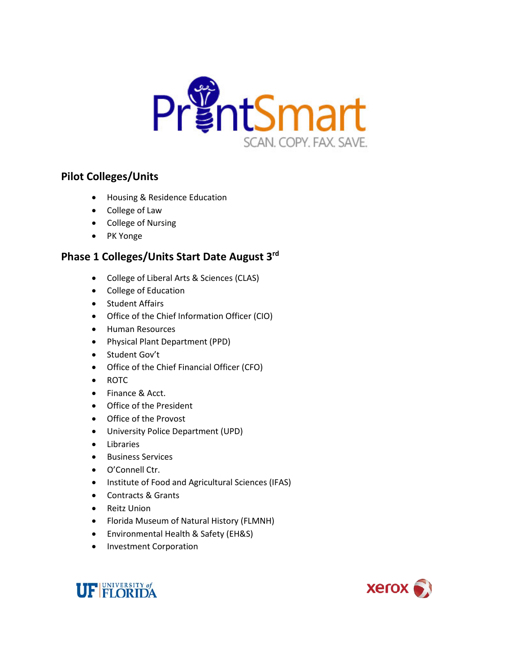

## **Pilot Colleges/Units**

- Housing & Residence Education
- College of Law
- College of Nursing
- PK Yonge

## **Phase 1 Colleges/Units Start Date August 3rd**

- College of Liberal Arts & Sciences (CLAS)
- College of Education
- Student Affairs
- Office of the Chief Information Officer (CIO)
- Human Resources
- Physical Plant Department (PPD)
- Student Gov't
- Office of the Chief Financial Officer (CFO)
- ROTC
- Finance & Acct.
- Office of the President
- Office of the Provost
- University Police Department (UPD)
- Libraries
- Business Services
- O'Connell Ctr.
- Institute of Food and Agricultural Sciences (IFAS)
- Contracts & Grants
- Reitz Union
- Florida Museum of Natural History (FLMNH)
- Environmental Health & Safety (EH&S)
- Investment Corporation